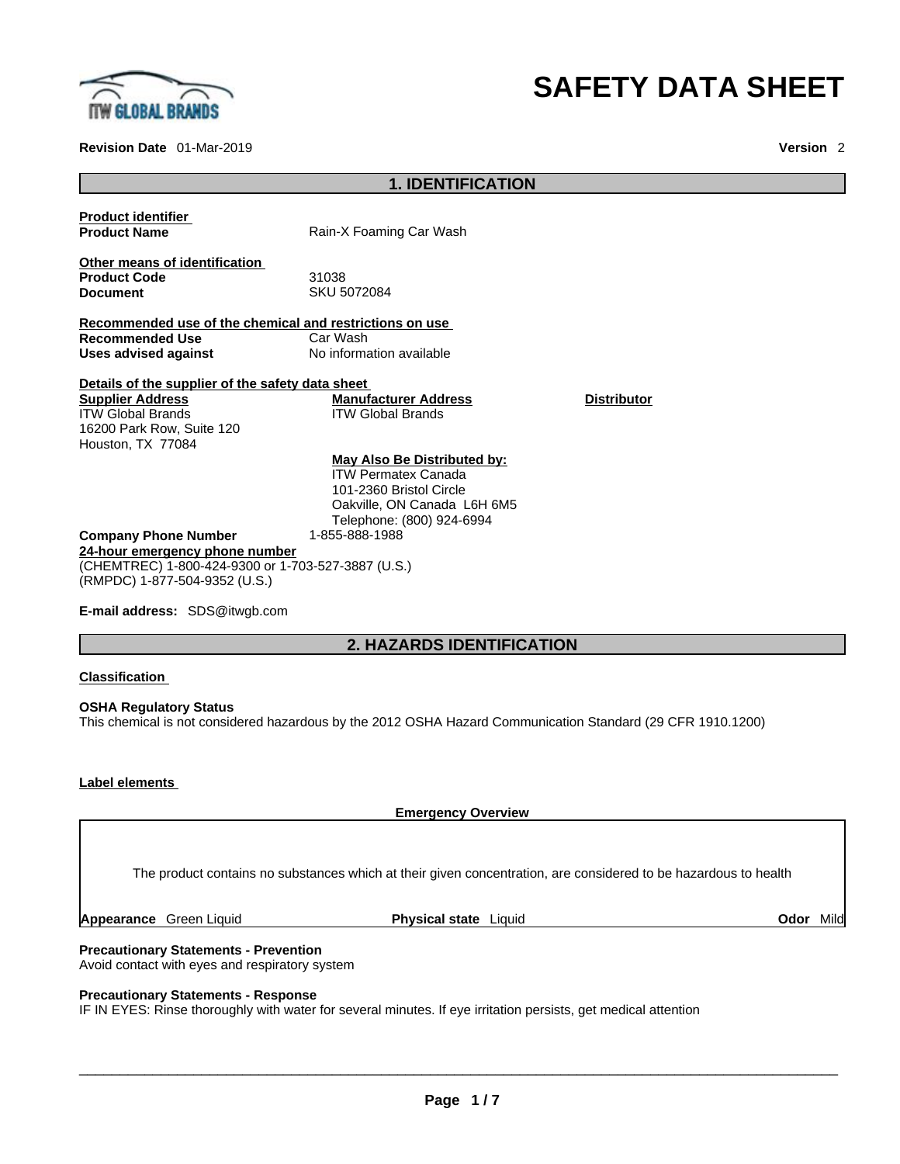

#### **Revision Date** 01-Mar-2019 **Version** 2

# **SAFETY DATA SHEET**

| <b>1. IDENTIFICATION</b>                                |                                                           |                    |  |
|---------------------------------------------------------|-----------------------------------------------------------|--------------------|--|
| <b>Product identifier</b>                               |                                                           |                    |  |
| <b>Product Name</b>                                     | Rain-X Foaming Car Wash                                   |                    |  |
| Other means of identification                           |                                                           |                    |  |
| <b>Product Code</b>                                     | 31038                                                     |                    |  |
| <b>Document</b>                                         | SKU 5072084                                               |                    |  |
| Recommended use of the chemical and restrictions on use |                                                           |                    |  |
| <b>Recommended Use</b>                                  | Car Wash                                                  |                    |  |
| Uses advised against                                    | No information available                                  |                    |  |
| Details of the supplier of the safety data sheet        |                                                           |                    |  |
| <b>Supplier Address</b>                                 | <b>Manufacturer Address</b>                               | <b>Distributor</b> |  |
| <b>ITW Global Brands</b>                                | <b>ITW Global Brands</b>                                  |                    |  |
| 16200 Park Row, Suite 120                               |                                                           |                    |  |
| Houston, TX 77084                                       |                                                           |                    |  |
|                                                         | May Also Be Distributed by:<br><b>ITW Permatex Canada</b> |                    |  |
|                                                         | 101-2360 Bristol Circle                                   |                    |  |
|                                                         | Oakville, ON Canada L6H 6M5                               |                    |  |
|                                                         | Telephone: (800) 924-6994                                 |                    |  |
| <b>Company Phone Number</b>                             | 1-855-888-1988                                            |                    |  |
| 24-hour emergency phone number                          |                                                           |                    |  |
| (CHEMTREC) 1-800-424-9300 or 1-703-527-3887 (U.S.)      |                                                           |                    |  |
| (RMPDC) 1-877-504-9352 (U.S.)                           |                                                           |                    |  |

**E-mail address:** SDS@itwgb.com

# **2. HAZARDS IDENTIFICATION**

### **Classification**

**OSHA Regulatory Status** This chemical is not considered hazardous by the 2012 OSHA Hazard Communication Standard (29 CFR 1910.1200)

### **Label elements**

The product contains no substances which at their given concentration, are considered to be hazardous to health

**Emergency Overview** 

**Appearance** Green Liquid **Physical state** Liquid **Odor** Mild

**Precautionary Statements - Prevention** Avoid contact with eyes and respiratory system

#### **Precautionary Statements - Response**

IF IN EYES: Rinse thoroughly with water for several minutes. If eye irritation persists, get medical attention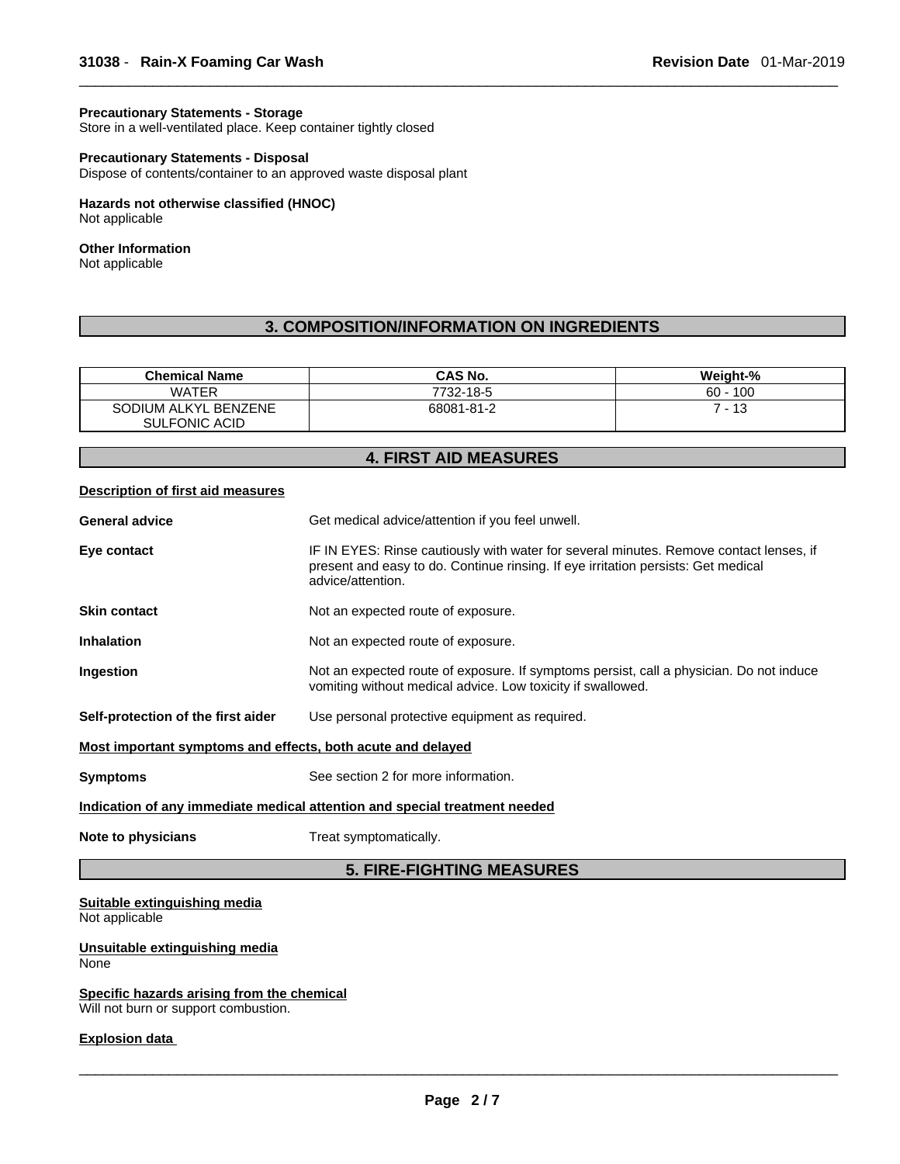### **Precautionary Statements - Storage**

Store in a well-ventilated place. Keep container tightly closed

### **Precautionary Statements - Disposal**

Dispose of contents/container to an approved waste disposal plant

#### **Hazards not otherwise classified (HNOC)**  Not applicable

#### **Other Information**

Not applicable

# **3. COMPOSITION/INFORMATION ON INGREDIENTS**

| <b>Chemical Name</b>                  | CAS No.    | Weight-%   |
|---------------------------------------|------------|------------|
| <b>WATER</b>                          | 7732-18-5  | $60 - 100$ |
| SODIUM ALKYL BENZENE<br>SULFONIC ACID | 68081-81-2 | ' - 13     |

# **4. FIRST AID MEASURES**

#### **Description of first aid measures**

| <b>General advice</b>                                       | Get medical advice/attention if you feel unwell.                                                                                                                                                 |
|-------------------------------------------------------------|--------------------------------------------------------------------------------------------------------------------------------------------------------------------------------------------------|
| Eye contact                                                 | IF IN EYES: Rinse cautiously with water for several minutes. Remove contact lenses, if<br>present and easy to do. Continue rinsing. If eye irritation persists: Get medical<br>advice/attention. |
| <b>Skin contact</b>                                         | Not an expected route of exposure.                                                                                                                                                               |
| <b>Inhalation</b>                                           | Not an expected route of exposure.                                                                                                                                                               |
| Ingestion                                                   | Not an expected route of exposure. If symptoms persist, call a physician. Do not induce<br>vomiting without medical advice. Low toxicity if swallowed.                                           |
| Self-protection of the first aider                          | Use personal protective equipment as required.                                                                                                                                                   |
| Most important symptoms and effects, both acute and delayed |                                                                                                                                                                                                  |
| <b>Symptoms</b>                                             | See section 2 for more information.                                                                                                                                                              |
|                                                             | Indication of any immediate medical attention and special treatment needed                                                                                                                       |
| Note to physicians                                          | Treat symptomatically.                                                                                                                                                                           |
|                                                             | <b>5. FIRE-FIGHTING MEASURES</b>                                                                                                                                                                 |
| Suitable extinguishing media<br>Not applicable              |                                                                                                                                                                                                  |

#### **Unsuitable extinguishing media None**

# **Specific hazards arising from the chemical**

Will not burn or support combustion.

#### **Explosion data**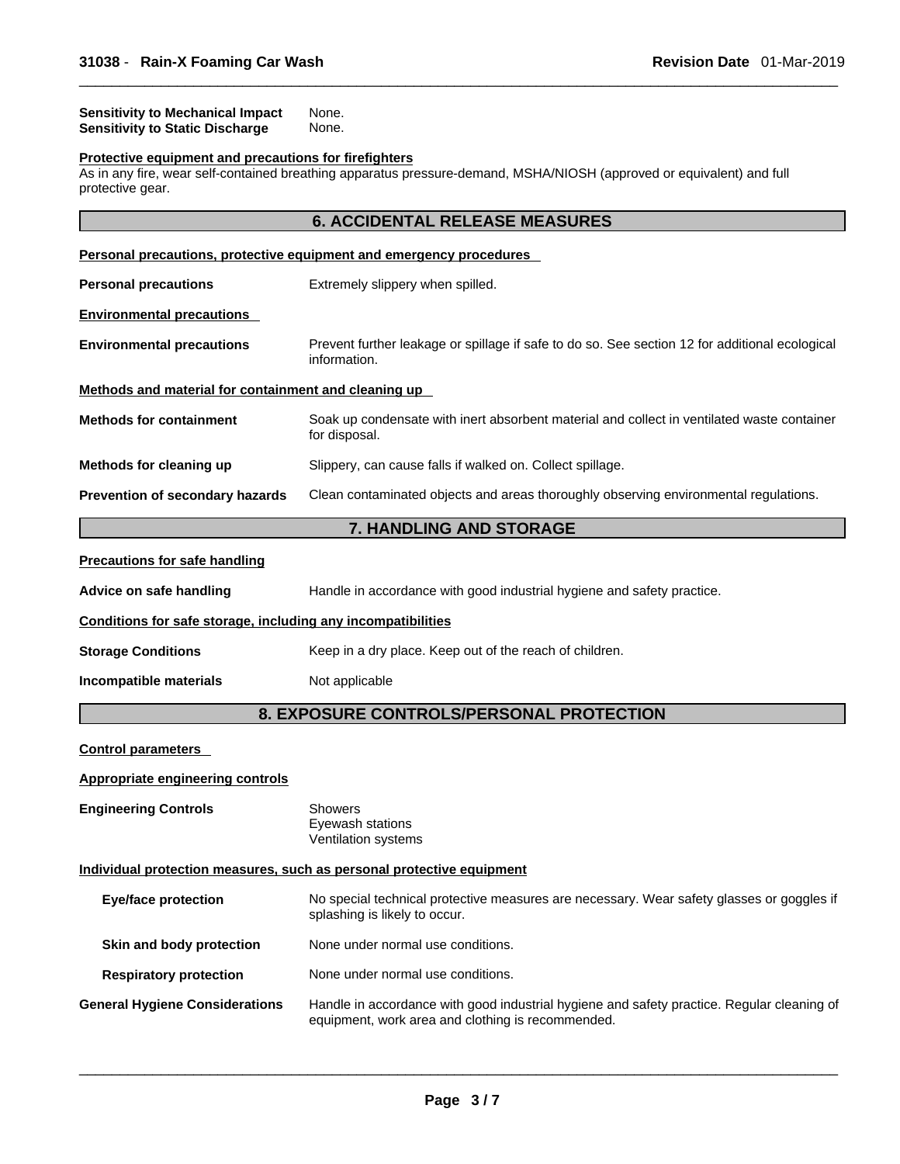| <b>Sensitivity to Mechanical Impact</b> | None. |
|-----------------------------------------|-------|
| <b>Sensitivity to Static Discharge</b>  | None. |

#### **Protective equipment and precautions for firefighters**

As in any fire, wear self-contained breathing apparatus pressure-demand, MSHA/NIOSH (approved or equivalent) and full protective gear.

# **6. ACCIDENTAL RELEASE MEASURES**

|                                                              | Personal precautions, protective equipment and emergency procedures                                                                             |
|--------------------------------------------------------------|-------------------------------------------------------------------------------------------------------------------------------------------------|
| <b>Personal precautions</b>                                  | Extremely slippery when spilled.                                                                                                                |
| <b>Environmental precautions</b>                             |                                                                                                                                                 |
| <b>Environmental precautions</b>                             | Prevent further leakage or spillage if safe to do so. See section 12 for additional ecological<br>information.                                  |
| Methods and material for containment and cleaning up         |                                                                                                                                                 |
| <b>Methods for containment</b>                               | Soak up condensate with inert absorbent material and collect in ventilated waste container<br>for disposal.                                     |
| Methods for cleaning up                                      | Slippery, can cause falls if walked on. Collect spillage.                                                                                       |
| Prevention of secondary hazards                              | Clean contaminated objects and areas thoroughly observing environmental regulations.                                                            |
|                                                              | 7. HANDLING AND STORAGE                                                                                                                         |
| <b>Precautions for safe handling</b>                         |                                                                                                                                                 |
| Advice on safe handling                                      | Handle in accordance with good industrial hygiene and safety practice.                                                                          |
| Conditions for safe storage, including any incompatibilities |                                                                                                                                                 |
| <b>Storage Conditions</b>                                    | Keep in a dry place. Keep out of the reach of children.                                                                                         |
| Incompatible materials                                       | Not applicable                                                                                                                                  |
|                                                              | 8. EXPOSURE CONTROLS/PERSONAL PROTECTION                                                                                                        |
| <b>Control parameters</b>                                    |                                                                                                                                                 |
| <b>Appropriate engineering controls</b>                      |                                                                                                                                                 |
| <b>Engineering Controls</b>                                  | Showers<br>Eyewash stations<br>Ventilation systems                                                                                              |
|                                                              | Individual protection measures, such as personal protective equipment                                                                           |
| <b>Eye/face protection</b>                                   | No special technical protective measures are necessary. Wear safety glasses or goggles if<br>splashing is likely to occur.                      |
| Skin and body protection                                     | None under normal use conditions.                                                                                                               |
| <b>Respiratory protection</b>                                | None under normal use conditions.                                                                                                               |
| <b>General Hygiene Considerations</b>                        | Handle in accordance with good industrial hygiene and safety practice. Regular cleaning of<br>equipment, work area and clothing is recommended. |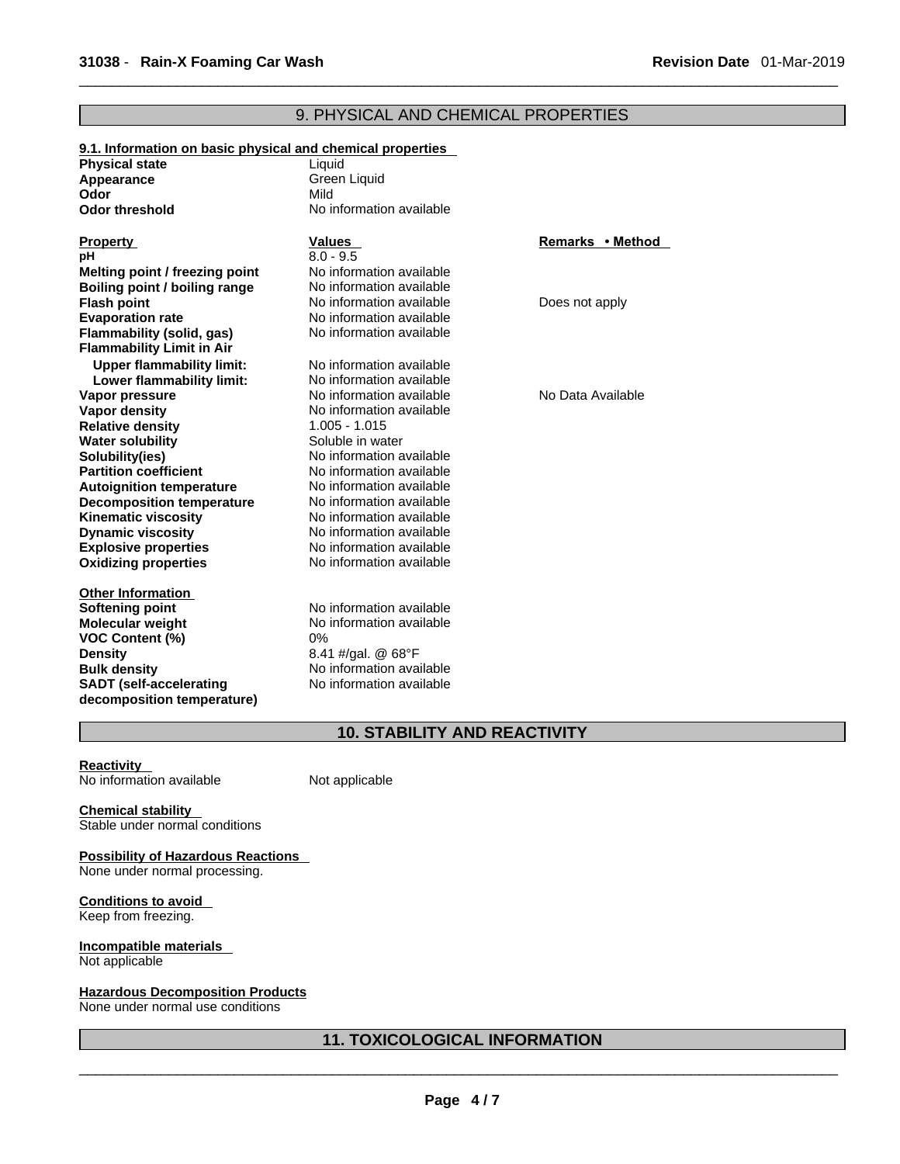# 9. PHYSICAL AND CHEMICAL PROPERTIES

|                                  | <u>shormour proportion</u> |                   |
|----------------------------------|----------------------------|-------------------|
| <b>Physical state</b>            | Liquid                     |                   |
| Appearance                       | Green Liquid               |                   |
| Odor                             | Mild                       |                   |
| <b>Odor threshold</b>            | No information available   |                   |
|                                  |                            |                   |
| <b>Property</b>                  | Values                     | Remarks • Method  |
| рH                               | $8.0 - 9.5$                |                   |
| Melting point / freezing point   | No information available   |                   |
| Boiling point / boiling range    | No information available   |                   |
| <b>Flash point</b>               | No information available   | Does not apply    |
| <b>Evaporation rate</b>          | No information available   |                   |
| Flammability (solid, gas)        | No information available   |                   |
| <b>Flammability Limit in Air</b> |                            |                   |
| <b>Upper flammability limit:</b> | No information available   |                   |
| Lower flammability limit:        | No information available   |                   |
| Vapor pressure                   | No information available   | No Data Available |
| <b>Vapor density</b>             | No information available   |                   |
| <b>Relative density</b>          | $1.005 - 1.015$            |                   |
| <b>Water solubility</b>          | Soluble in water           |                   |
| Solubility(ies)                  | No information available   |                   |
| <b>Partition coefficient</b>     | No information available   |                   |
| <b>Autoignition temperature</b>  | No information available   |                   |
| <b>Decomposition temperature</b> | No information available   |                   |
| <b>Kinematic viscosity</b>       | No information available   |                   |
| <b>Dynamic viscosity</b>         | No information available   |                   |
| <b>Explosive properties</b>      | No information available   |                   |
| <b>Oxidizing properties</b>      | No information available   |                   |
| <b>Other Information</b>         |                            |                   |
| Softening point                  | No information available   |                   |
| <b>Molecular weight</b>          | No information available   |                   |
| <b>VOC Content (%)</b>           | 0%                         |                   |
| <b>Density</b>                   | 8.41 #/gal. @ 68°F         |                   |
| <b>Bulk density</b>              | No information available   |                   |
| <b>SADT</b> (self-accelerating   | No information available   |                   |
| decomposition temperature)       |                            |                   |
|                                  |                            |                   |

#### **9.1. Information on basic physical and chemical properties**

**10. STABILITY AND REACTIVITY** 

**Reactivity**  No information available

Not applicable

**Chemical stability**  Stable under normal conditions

**Possibility of Hazardous Reactions** 

None under normal processing.

**Conditions to avoid**  Keep from freezing.

**Incompatible materials**  Not applicable

**Hazardous Decomposition Products**

None under normal use conditions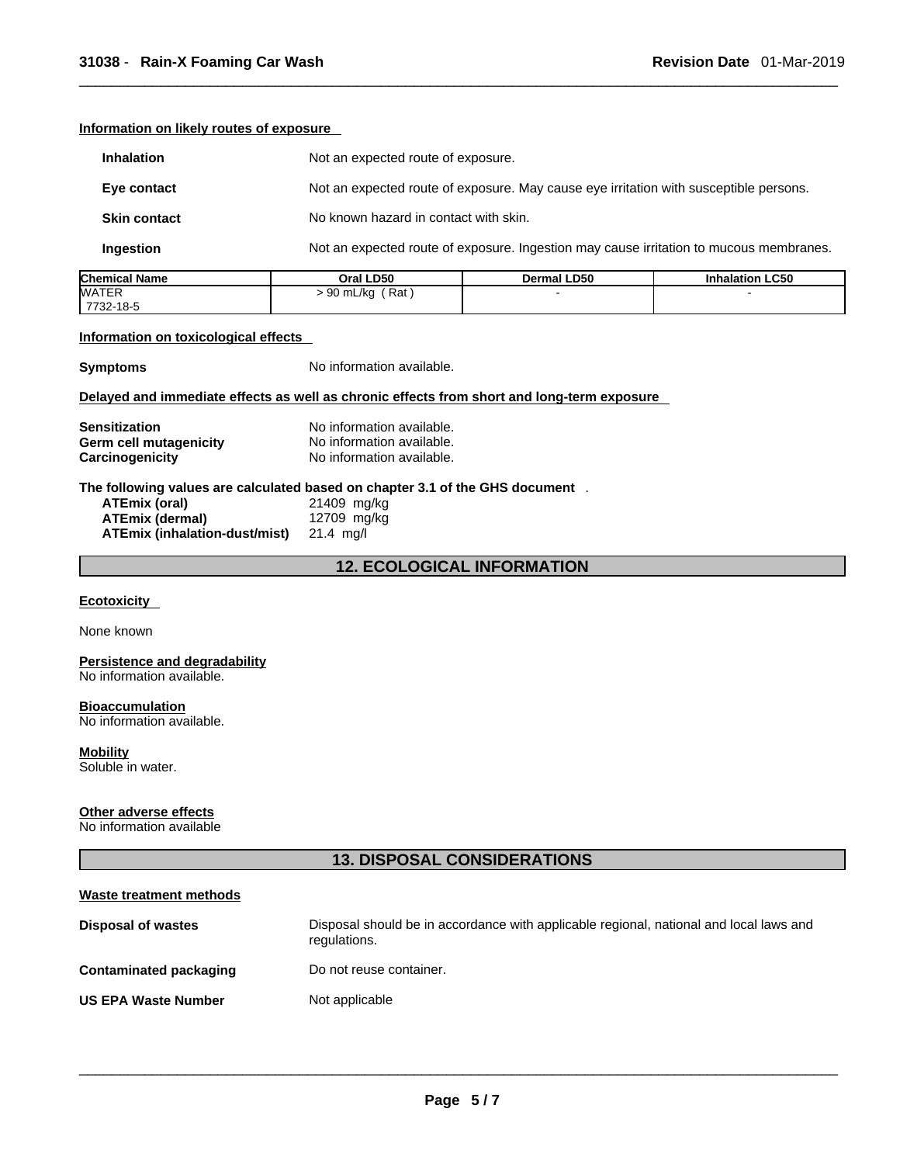| Information on likely routes of exposure |                    |                                                                                        |                        |  |  |
|------------------------------------------|--------------------|----------------------------------------------------------------------------------------|------------------------|--|--|
| <b>Inhalation</b>                        |                    | Not an expected route of exposure.                                                     |                        |  |  |
| Eye contact                              |                    | Not an expected route of exposure. May cause eye irritation with susceptible persons.  |                        |  |  |
| <b>Skin contact</b>                      |                    | No known hazard in contact with skin.                                                  |                        |  |  |
| Ingestion                                |                    | Not an expected route of exposure. Ingestion may cause irritation to mucous membranes. |                        |  |  |
| <b>Chemical Name</b>                     | Oral LD50          | <b>Dermal LD50</b>                                                                     | <b>Inhalation LC50</b> |  |  |
| <b>WATER</b>                             | $> 90$ mL/kg (Rat) |                                                                                        | -                      |  |  |
| 7732-18-5                                |                    |                                                                                        |                        |  |  |

# **Information on toxicological effects**

**Symptoms** No information available.

#### **Delayed and immediate effects as well as chronic effects from short and long-term exposure**

| <b>Sensitization</b>   | No information available. |
|------------------------|---------------------------|
| Germ cell mutagenicity | No information available. |
| Carcinogenicity        | No information available. |

#### **The following values are calculated based on chapter 3.1 of the GHS document** .

| ATEmix (oral)                 | 21409 mg/kg |
|-------------------------------|-------------|
| ATEmix (dermal)               | 12709 mg/kg |
| ATEmix (inhalation-dust/mist) | 21.4 ma/l   |

# **12. ECOLOGICAL INFORMATION**

#### **Ecotoxicity**

None known

# **Persistence and degradability**

No information available.

#### **Bioaccumulation**

No information available.

### **Mobility**

Soluble in water.

### **Other adverse effects**

No information available

# **13. DISPOSAL CONSIDERATIONS**

| Waste treatment methods       |                                                                                                        |
|-------------------------------|--------------------------------------------------------------------------------------------------------|
| <b>Disposal of wastes</b>     | Disposal should be in accordance with applicable regional, national and local laws and<br>regulations. |
| <b>Contaminated packaging</b> | Do not reuse container.                                                                                |
| <b>US EPA Waste Number</b>    | Not applicable                                                                                         |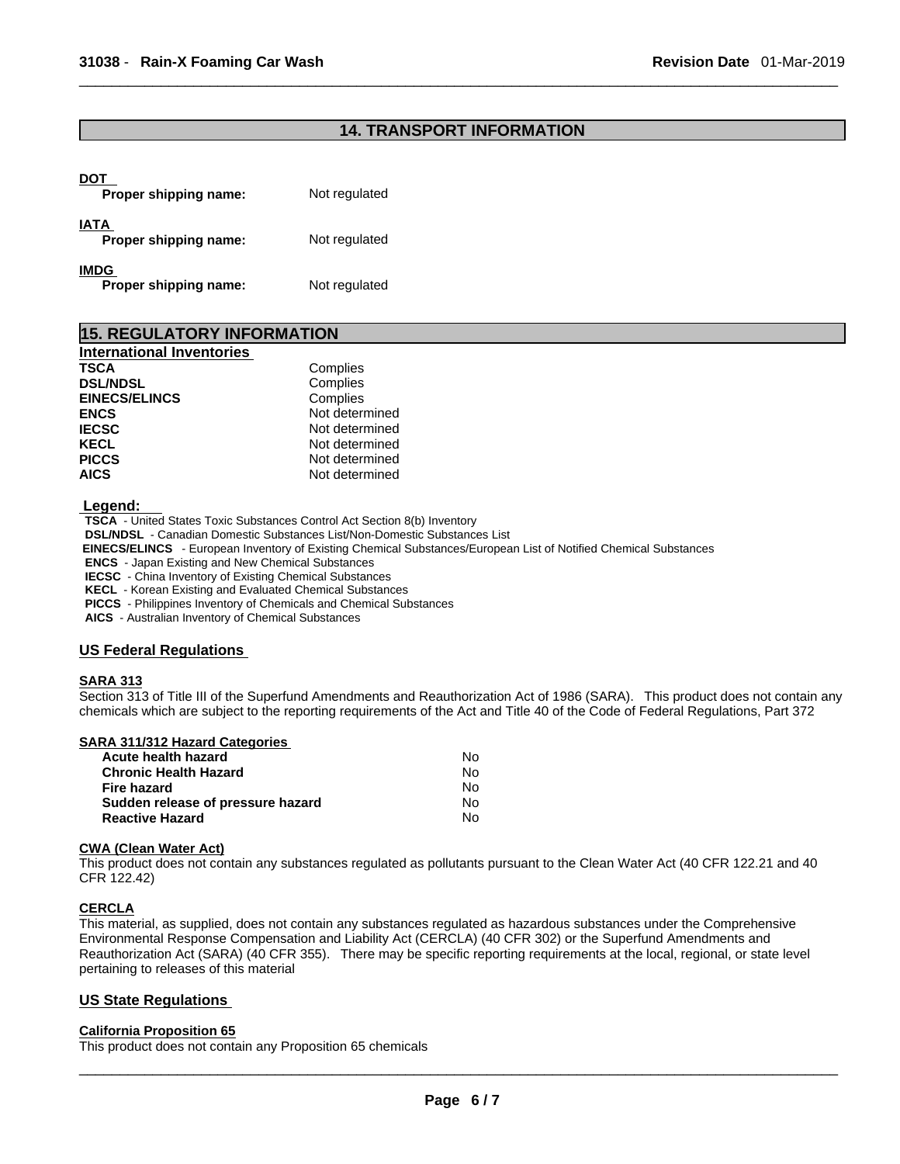### **14. TRANSPORT INFORMATION**

#### **DOT**

| ---<br>Proper shipping name:         | Not regulated |  |
|--------------------------------------|---------------|--|
| IATA<br>Proper shipping name:        | Not regulated |  |
| <b>IMDG</b><br>Proper shipping name: | Not regulated |  |

#### **15. REGULATORY INFORMATION International Inventories TSCA** Complies **DSL/NDSL**<br> **EINECS/ELINCS Complies EINECS/ELINCS ENCS** Not determined **IECSC**<br> **IECSC**<br> **IECEL**<br>
Not determined **KECL Not determined**<br> **PICCS** Not determined **PICCS** Not determined

AICS Not determined

#### **Legend:**

**TSCA** - United States Toxic Substances Control Act Section 8(b) Inventory

**DSL/NDSL** - Canadian Domestic Substances List/Non-Domestic Substances List

 **EINECS/ELINCS** - European Inventory of Existing Chemical Substances/European List of Notified Chemical Substances

**ENCS** - Japan Existing and New Chemical Substances

**IECSC** - China Inventory of Existing Chemical Substances

**KECL** - Korean Existing and Evaluated Chemical Substances

**PICCS** - Philippines Inventory of Chemicals and Chemical Substances

**AICS** - Australian Inventory of Chemical Substances

#### **US Federal Regulations**

#### **SARA 313**

Section 313 of Title III of the Superfund Amendments and Reauthorization Act of 1986 (SARA). This product does not contain any chemicals which are subject to the reporting requirements of the Act and Title 40 of the Code of Federal Regulations, Part 372

#### **SARA 311/312 Hazard Categories**

| Acute health hazard               | No. |  |
|-----------------------------------|-----|--|
| Chronic Health Hazard             | N٥  |  |
| Fire hazard                       | No. |  |
| Sudden release of pressure hazard | No. |  |
| Reactive Hazard                   | N٥  |  |

#### **CWA** (Clean Water Act)

This product does not contain any substances regulated as pollutants pursuant to the Clean Water Act (40 CFR 122.21 and 40 CFR 122.42)

# **CERCLA**

This material, as supplied, does not contain any substances regulated as hazardous substances under the Comprehensive Environmental Response Compensation and Liability Act (CERCLA) (40 CFR 302) or the Superfund Amendments and Reauthorization Act (SARA) (40 CFR 355). There may be specific reporting requirements at the local, regional, or state level pertaining to releases of this material

### **US State Regulations**

### **California Proposition 65**

This product does not contain any Proposition 65 chemicals